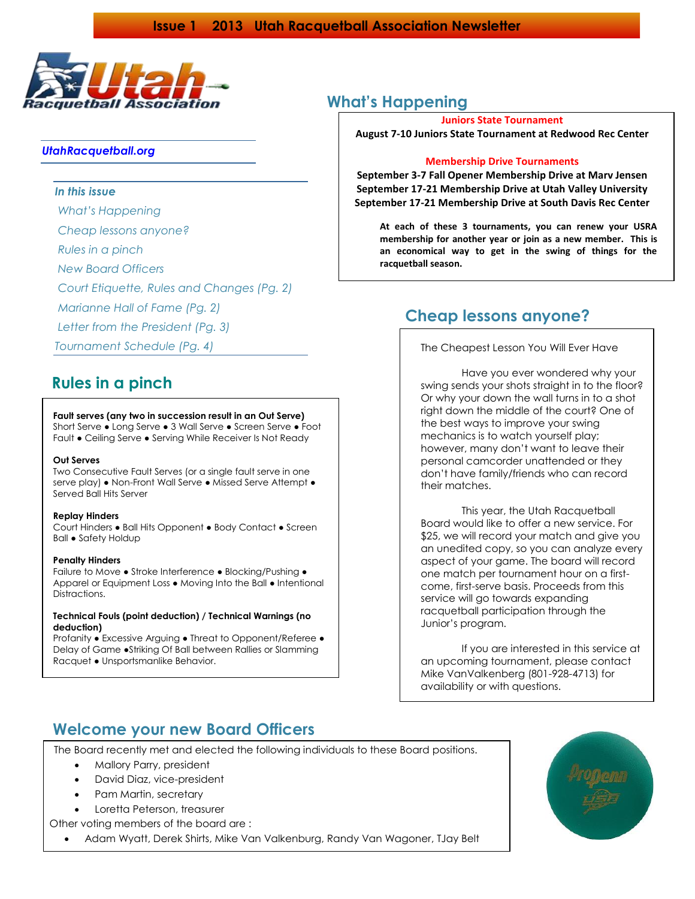

### *UtahRacquetball.org*

### *In this issue*

*What's Happening*

*Cheap lessons anyone?*

*Rules in a pinch*

*New Board Officers*

*Court Etiquette, Rules and Changes (Pg. 2)*

*Marianne Hall of Fame (Pg. 2)*

*Letter from the President (Pg. 3)* 

*Tournament Schedule (Pg. 4)*

# **Rules in a pinch**

#### **Fault serves (any two in succession result in an Out Serve)**

Short Serve ● Long Serve ● 3 Wall Serve ● Screen Serve ● Foot Fault ● Ceiling Serve ● Serving While Receiver Is Not Ready

#### **Out Serves**

Two Consecutive Fault Serves (or a single fault serve in one serve play) • Non-Front Wall Serve • Missed Serve Attempt • Served Ball Hits Server

#### **Replay Hinders**

Court Hinders ● Ball Hits Opponent ● Body Contact ● Screen Ball ● Safety Holdup

#### **Penalty Hinders**

Failure to Move • Stroke Interference • Blocking/Pushing • Apparel or Equipment Loss ● Moving Into the Ball ● Intentional Distractions.

#### **Technical Fouls (point deduction) / Technical Warnings (no deduction)**

Profanity ● Excessive Arguing ● Threat to Opponent/Referee ● Delay of Game ●Striking Of Ball between Rallies or Slamming Racquet ● Unsportsmanlike Behavior.

# **What's Happening**

#### **Juniors State Tournament**

**August 7-10 Juniors State Tournament at Redwood Rec Center**

#### **Membership Drive Tournaments**

**September 3-7 Fall Opener Membership Drive at Marv Jensen September 17-21 Membership Drive at Utah Valley University September 17-21 Membership Drive at South Davis Rec Center**

**At each of these 3 tournaments, you can renew your USRA membership for another year or join as a new member. This is an economical way to get in the swing of things for the racquetball season.**

### **Cheap lessons anyone?**

The Cheapest Lesson You Will Ever Have

Have you ever wondered why your swing sends your shots straight in to the floor? Or why your down the wall turns in to a shot right down the middle of the court? One of the best ways to improve your swing mechanics is to watch yourself play; however, many don't want to leave their personal camcorder unattended or they don't have family/friends who can record their matches.

This year, the Utah Racquetball Board would like to offer a new service. For \$25, we will record your match and give you an unedited copy, so you can analyze every aspect of your game. The board will record one match per tournament hour on a firstcome, first-serve basis. Proceeds from this service will go towards expanding racquetball participation through the Junior's program.

If you are interested in this service at an upcoming tournament, please contact Mike VanValkenberg (801-928-4713) for availability or with questions.

# **Welcome your new Board Officers**

The Board recently met and elected the following individuals to these Board positions.

- Mallory Parry, president
- David Diaz, vice-president
- Pam Martin, secretary
- Loretta Peterson, treasurer
- Other voting members of the board are :
	- Adam Wyatt, Derek Shirts, Mike Van Valkenburg, Randy Van Wagoner, TJay Belt

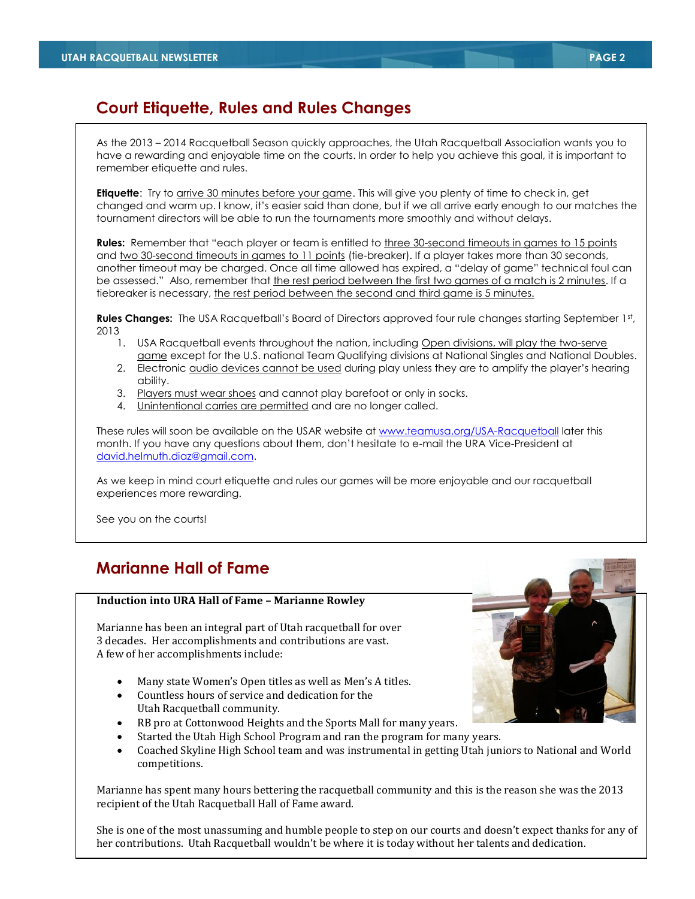# **Court Etiquette, Rules and Rules Changes**

As the 2013 – 2014 Racquetball Season quickly approaches, the Utah Racquetball Association wants you to have a rewarding and enjoyable time on the courts. In order to help you achieve this goal, it is important to remember etiquette and rules.

**Etiquette**: Try to **arrive 30 minutes before your game**. This will give you plenty of time to check in, get changed and warm up. I know, it's easier said than done, but if we all arrive early enough to our matches the tournament directors will be able to run the tournaments more smoothly and without delays.

**Rules:** Remember that "each player or team is entitled to three 30-second timeouts in games to 15 points and two 30-second timeouts in games to 11 points (tie-breaker). If a player takes more than 30 seconds, another timeout may be charged. Once all time allowed has expired, a "delay of game" technical foul can be assessed." Also, remember that the rest period between the first two games of a match is 2 minutes. If a tiebreaker is necessary, the rest period between the second and third game is 5 minutes.

**Rules Changes:** The USA Racquetball's Board of Directors approved four rule changes starting September 1st, 2013

- 1. USA Racquetball events throughout the nation, including Open divisions, will play the two-serve game except for the U.S. national Team Qualifying divisions at National Singles and National Doubles.
- 2. Electronic **audio devices cannot be used during play unless they are to amplify the player's hearing** ability.
- 3. Players must wear shoes and cannot play barefoot or only in socks.
- 4. Unintentional carries are permitted and are no longer called.

These rules will soon be available on the USAR website at [www.teamusa.org/USA-Racquetball](http://www.teamusa.org/USA-Racquetball) later this month. If you have any questions about them, don't hesitate to e-mail the URA Vice-President at [david.helmuth.diaz@gmail.com.](mailto:david.helmuth.diaz@gmail.com)

As we keep in mind court etiquette and rules our games will be more enjoyable and our racquetball experiences more rewarding.

See you on the courts!

# **Marianne Hall of Fame**

#### **Induction into URA Hall of Fame – Marianne Rowley**

Marianne has been an integral part of Utah racquetball for over 3 decades. Her accomplishments and contributions are vast. A few of her accomplishments include:

- Many state Women's Open titles as well as Men's A titles.
- Countless hours of service and dedication for the Utah Racquetball community.
- RB pro at Cottonwood Heights and the Sports Mall for many years.
- Started the Utah High School Program and ran the program for many years.
- Coached Skyline High School team and was instrumental in getting Utah juniors to National and World competitions.

Marianne has spent many hours bettering the racquetball community and this is the reason she was the 2013 recipient of the Utah Racquetball Hall of Fame award.

She is one of the most unassuming and humble people to step on our courts and doesn't expect thanks for any of her contributions. Utah Racquetball wouldn't be where it is today without her talents and dedication.

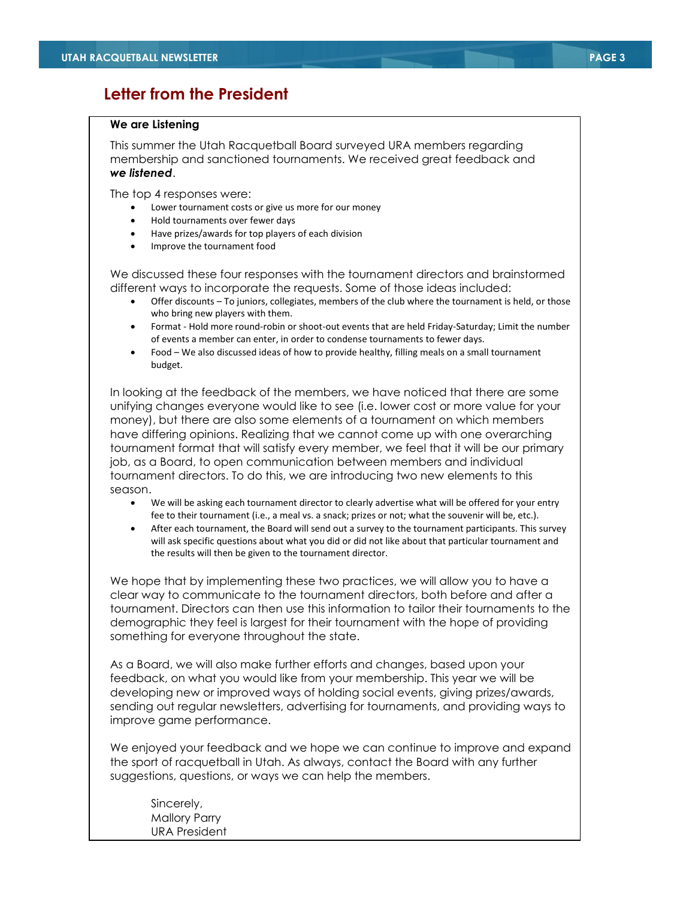### **Letter from the President**

### **We are Listening**

This summer the Utah Racquetball Board surveyed URA members regarding membership and sanctioned tournaments. We received great feedback and *we listened*.

The top 4 responses were:

- Lower tournament costs or give us more for our money
- Hold tournaments over fewer days
- Have prizes/awards for top players of each division
- Improve the tournament food

We discussed these four responses with the tournament directors and brainstormed different ways to incorporate the requests. Some of those ideas included:

- Offer discounts To juniors, collegiates, members of the club where the tournament is held, or those who bring new players with them.
- Format Hold more round-robin or shoot-out events that are held Friday-Saturday; Limit the number of events a member can enter, in order to condense tournaments to fewer days.
- Food We also discussed ideas of how to provide healthy, filling meals on a small tournament budget.

In looking at the feedback of the members, we have noticed that there are some unifying changes everyone would like to see (i.e. lower cost or more value for your money), but there are also some elements of a tournament on which members have differing opinions. Realizing that we cannot come up with one overarching tournament format that will satisfy every member, we feel that it will be our primary job, as a Board, to open communication between members and individual tournament directors. To do this, we are introducing two new elements to this season.

- We will be asking each tournament director to clearly advertise what will be offered for your entry fee to their tournament (i.e., a meal vs. a snack; prizes or not; what the souvenir will be, etc.).
- After each tournament, the Board will send out a survey to the tournament participants. This survey will ask specific questions about what you did or did not like about that particular tournament and the results will then be given to the tournament director.

We hope that by implementing these two practices, we will allow you to have a clear way to communicate to the tournament directors, both before and after a tournament. Directors can then use this information to tailor their tournaments to the demographic they feel is largest for their tournament with the hope of providing something for everyone throughout the state.

As a Board, we will also make further efforts and changes, based upon your feedback, on what you would like from your membership. This year we will be developing new or improved ways of holding social events, giving prizes/awards, sending out regular newsletters, advertising for tournaments, and providing ways to improve game performance.

We enjoyed your feedback and we hope we can continue to improve and expand the sport of racquetball in Utah. As always, contact the Board with any further suggestions, questions, or ways we can help the members.

Sincerely, Mallory Parry URA President